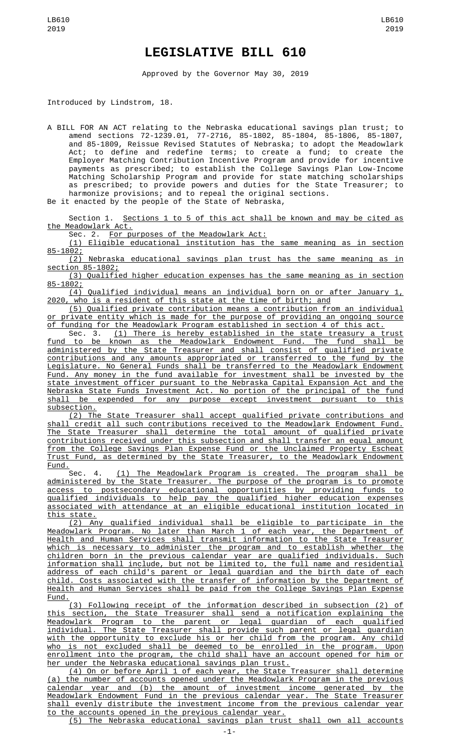## **LEGISLATIVE BILL 610**

Approved by the Governor May 30, 2019

Introduced by Lindstrom, 18.

A BILL FOR AN ACT relating to the Nebraska educational savings plan trust; to amend sections 72-1239.01, 77-2716, 85-1802, 85-1804, 85-1806, 85-1807, and 85-1809, Reissue Revised Statutes of Nebraska; to adopt the Meadowlark Act; to define and redefine terms; to create a fund; to create the Employer Matching Contribution Incentive Program and provide for incentive payments as prescribed; to establish the College Savings Plan Low-Income Matching Scholarship Program and provide for state matching scholarships as prescribed; to provide powers and duties for the State Treasurer; to harmonize provisions; and to repeal the original sections.

Be it enacted by the people of the State of Nebraska,

Section 1. <u>Sections 1 to 5 of this act shall be known and may be cited as</u> the Meadowlark Act.

Sec. 2. For purposes of the Meadowlark Act:

(1) Eligible educational institution has the same meaning as in section 85-1802;

(2) Nebraska educational savings plan trust has the same meaning as in section 85-1802;

(3) Qualified higher education expenses has the same meaning as in section 85-1802;

(4) Qualified individual means an individual born on or after January 1, 2020, who is a resident of this state at the time of birth; and

(5) Qualified private contribution means a contribution from an individual <u>or private entity which is made for the purpose of providing an ongoing source</u><br>of funding for the Meadowlark Program established in section 4 of this act. funding for the Meadowlark Program established in section 4 of this act.

Sec. 3. (1) There is hereby established in the state treasury a trust fund to be known as the Meadowlark Endowment Fund. The fund shall be administered by the State Treasurer and shall consist of qualified private contributions and any amounts appropriated or transferred to the fund by the Legislature. No General Funds shall be transferred to the Meadowlark Endowment Fund. Any money in the fund available for investment shall be invested by the state investment officer pursuant to the Nebraska Capital Expansion Act and the Nebraska State Funds Investment Act. No portion of the principal of the fund shall be expended for any purpose except investment pursuant to this subsection.

(2) The State Treasurer shall accept qualified private contributions and shall credit all such contributions received to the Meadowlark Endowment Fund. The State Treasurer shall determine the total amount of qualified private contributions received under this subsection and shall transfer an equal amount from the College Savings Plan Expense Fund or the Unclaimed Property Escheat Trust Fund, as determined by the State Treasurer, to the Meadowlark Endowment Fund.

Sec. 4. (1) The Meadowlark Program is created. The program shall be administered by the State Treasurer. The purpose of the program is to promote access to postsecondary educational opportunities by providing funds to qualified individuals to help pay the qualified higher education expenses associated with attendance at an eligible educational institution located in this state.

(2) Any qualified individual shall be eligible to participate in the Meadowlark Program. No later than March 1 of each year, the Department of Health and Human Services shall transmit information to the State Treasurer which is necessary to administer the program and to establish whether the children born in the previous calendar year are qualified individuals. Such information shall include, but not be limited to, the full name and residential address of each child's parent or legal guardian and the birth date of each child. Costs associated with the transfer of information by the Department of Health and Human Services shall be paid from the College Savings Plan Expense Fund.

(3) Following receipt of the information described in subsection (2) of this section, the State Treasurer shall send a notification explaining the Meadowlark Program to the parent or legal guardian of each qualified individual. The State Treasurer shall provide such parent or legal guardian with the opportunity to exclude his or her child from the program. Any child who is not excluded shall be deemed to be enrolled in the program. Upon enrollment into the program, the child shall have an account opened for him or her under the Nebraska educational savings plan trust.

(4) On or before April 1 of each year, the State Treasurer shall determine (a) the number of accounts opened under the Meadowlark Program in the previous calendar year and (b) the amount of investment income generated by the Meadowlark Endowment Fund in the previous calendar year. The State Treasurer shall evenly distribute the investment income from the previous calendar year to the accounts opened in the previous calendar year.

(5) The Nebraska educational savings plan trust shall own all accounts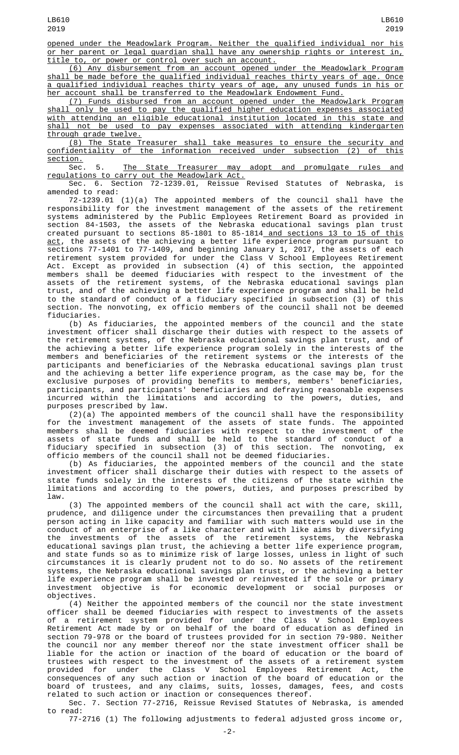opened under the Meadowlark Program. Neither the qualified individual nor his or her parent or legal guardian shall have any ownership rights or interest in, title to, or power or control over such an account.

(6) Any disbursement from an account opened under the Meadowlark Program shall be made before the qualified individual reaches thirty years of age. Once a qualified individual reaches thirty years of age, any unused funds in his or her account shall be transferred to the Meadowlark Endowment Fund.

(7) Funds disbursed from an account opened under the Meadowlark Program shall only be used to pay the qualified higher education expenses associated with attending an eligible educational institution located in this state and shall not be used to pay expenses associated with attending kindergarten through grade twelve.

(8) The State Treasurer shall take measures to ensure the security and confidentiality of the information received under subsection (2) of this section.

Sec. 5. The State Treasurer may adopt and promulgate rules and regulations to carry out the Meadowlark Act.

Sec. 6. Section 72-1239.01, Reissue Revised Statutes of Nebraska, is amended to read:

72-1239.01 (1)(a) The appointed members of the council shall have the responsibility for the investment management of the assets of the retirement systems administered by the Public Employees Retirement Board as provided in section 84-1503, the assets of the Nebraska educational savings plan trust created pursuant to sections 85-1801 to 85-1814<u> and sections 13 to 15 of this</u> <u>act</u>, the assets of the achieving a better life experience program pursuant to sections 77-1401 to 77-1409, and beginning January 1, 2017, the assets of each retirement system provided for under the Class V School Employees Retirement Act. Except as provided in subsection (4) of this section, the appointed members shall be deemed fiduciaries with respect to the investment of the assets of the retirement systems, of the Nebraska educational savings plan trust, and of the achieving a better life experience program and shall be held to the standard of conduct of a fiduciary specified in subsection (3) of this section. The nonvoting, ex officio members of the council shall not be deemed fiduciaries.

(b) As fiduciaries, the appointed members of the council and the state investment officer shall discharge their duties with respect to the assets of the retirement systems, of the Nebraska educational savings plan trust, and of the achieving a better life experience program solely in the interests of the members and beneficiaries of the retirement systems or the interests of the participants and beneficiaries of the Nebraska educational savings plan trust and the achieving a better life experience program, as the case may be, for the exclusive purposes of providing benefits to members, members' beneficiaries, participants, and participants' beneficiaries and defraying reasonable expenses incurred within the limitations and according to the powers, duties, and purposes prescribed by law.

(2)(a) The appointed members of the council shall have the responsibility for the investment management of the assets of state funds. The appointed members shall be deemed fiduciaries with respect to the investment of the assets of state funds and shall be held to the standard of conduct of a fiduciary specified in subsection (3) of this section. The nonvoting, ex officio members of the council shall not be deemed fiduciaries.

(b) As fiduciaries, the appointed members of the council and the state investment officer shall discharge their duties with respect to the assets of state funds solely in the interests of the citizens of the state within the limitations and according to the powers, duties, and purposes prescribed by law.

(3) The appointed members of the council shall act with the care, skill, prudence, and diligence under the circumstances then prevailing that a prudent person acting in like capacity and familiar with such matters would use in the conduct of an enterprise of a like character and with like aims by diversifying the investments of the assets of the retirement systems, the Nebraska educational savings plan trust, the achieving a better life experience program, and state funds so as to minimize risk of large losses, unless in light of such circumstances it is clearly prudent not to do so. No assets of the retirement systems, the Nebraska educational savings plan trust, or the achieving a better life experience program shall be invested or reinvested if the sole or primary investment objective is for economic development or social purposes or objectives.

(4) Neither the appointed members of the council nor the state investment officer shall be deemed fiduciaries with respect to investments of the assets of a retirement system provided for under the Class V School Employees Retirement Act made by or on behalf of the board of education as defined in section 79-978 or the board of trustees provided for in section 79-980. Neither the council nor any member thereof nor the state investment officer shall be liable for the action or inaction of the board of education or the board of trustees with respect to the investment of the assets of a retirement system provided for under the Class V School Employees Retirement Act, the consequences of any such action or inaction of the board of education or the board of trustees, and any claims, suits, losses, damages, fees, and costs related to such action or inaction or consequences thereof.

Sec. 7. Section 77-2716, Reissue Revised Statutes of Nebraska, is amended to read:

77-2716 (1) The following adjustments to federal adjusted gross income or,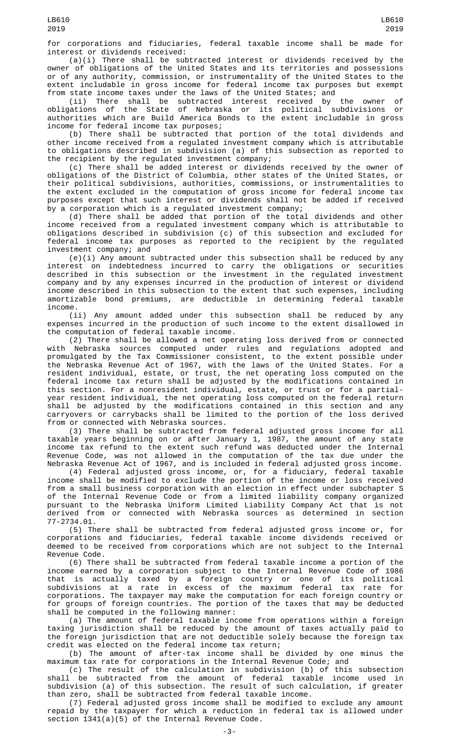for corporations and fiduciaries, federal taxable income shall be made for interest or dividends received:

(a)(i) There shall be subtracted interest or dividends received by the owner of obligations of the United States and its territories and possessions or of any authority, commission, or instrumentality of the United States to the extent includable in gross income for federal income tax purposes but exempt from state income taxes under the laws of the United States; and

(ii) There shall be subtracted interest received by the owner of obligations of the State of Nebraska or its political subdivisions or authorities which are Build America Bonds to the extent includable in gross income for federal income tax purposes;

(b) There shall be subtracted that portion of the total dividends and other income received from a regulated investment company which is attributable to obligations described in subdivision (a) of this subsection as reported to the recipient by the regulated investment company;

(c) There shall be added interest or dividends received by the owner of obligations of the District of Columbia, other states of the United States, or their political subdivisions, authorities, commissions, or instrumentalities to the extent excluded in the computation of gross income for federal income tax purposes except that such interest or dividends shall not be added if received by a corporation which is a regulated investment company;

(d) There shall be added that portion of the total dividends and other income received from a regulated investment company which is attributable to obligations described in subdivision (c) of this subsection and excluded for federal income tax purposes as reported to the recipient by the regulated investment company; and

 $(e)(i)$  Any amount subtracted under this subsection shall be reduced by any interest on indebtedness incurred to carry the obligations or securities described in this subsection or the investment in the regulated investment company and by any expenses incurred in the production of interest or dividend income described in this subsection to the extent that such expenses, including amortizable bond premiums, are deductible in determining federal taxable income.

(ii) Any amount added under this subsection shall be reduced by any expenses incurred in the production of such income to the extent disallowed in the computation of federal taxable income.

(2) There shall be allowed a net operating loss derived from or connected with Nebraska sources computed under rules and regulations adopted and promulgated by the Tax Commissioner consistent, to the extent possible under the Nebraska Revenue Act of 1967, with the laws of the United States. For a resident individual, estate, or trust, the net operating loss computed on the federal income tax return shall be adjusted by the modifications contained in this section. For a nonresident individual, estate, or trust or for a partialyear resident individual, the net operating loss computed on the federal return shall be adjusted by the modifications contained in this section and any carryovers or carrybacks shall be limited to the portion of the loss derived from or connected with Nebraska sources.

(3) There shall be subtracted from federal adjusted gross income for all taxable years beginning on or after January 1, 1987, the amount of any state income tax refund to the extent such refund was deducted under the Internal Revenue Code, was not allowed in the computation of the tax due under the Nebraska Revenue Act of 1967, and is included in federal adjusted gross income.

(4) Federal adjusted gross income, or, for a fiduciary, federal taxable income shall be modified to exclude the portion of the income or loss received from a small business corporation with an election in effect under subchapter S of the Internal Revenue Code or from a limited liability company organized pursuant to the Nebraska Uniform Limited Liability Company Act that is not derived from or connected with Nebraska sources as determined in section 77-2734.01.

(5) There shall be subtracted from federal adjusted gross income or, for corporations and fiduciaries, federal taxable income dividends received or deemed to be received from corporations which are not subject to the Internal Revenue Code.

(6) There shall be subtracted from federal taxable income a portion of the income earned by a corporation subject to the Internal Revenue Code of 1986 that is actually taxed by a foreign country or one of its political subdivisions at a rate in excess of the maximum federal tax rate for corporations. The taxpayer may make the computation for each foreign country or for groups of foreign countries. The portion of the taxes that may be deducted shall be computed in the following manner:

(a) The amount of federal taxable income from operations within a foreign taxing jurisdiction shall be reduced by the amount of taxes actually paid to the foreign jurisdiction that are not deductible solely because the foreign tax credit was elected on the federal income tax return;

(b) The amount of after-tax income shall be divided by one minus the maximum tax rate for corporations in the Internal Revenue Code; and

(c) The result of the calculation in subdivision (b) of this subsection shall be subtracted from the amount of federal taxable income used in subdivision (a) of this subsection. The result of such calculation, if greater than zero, shall be subtracted from federal taxable income.

(7) Federal adjusted gross income shall be modified to exclude any amount repaid by the taxpayer for which a reduction in federal tax is allowed under section 1341(a)(5) of the Internal Revenue Code.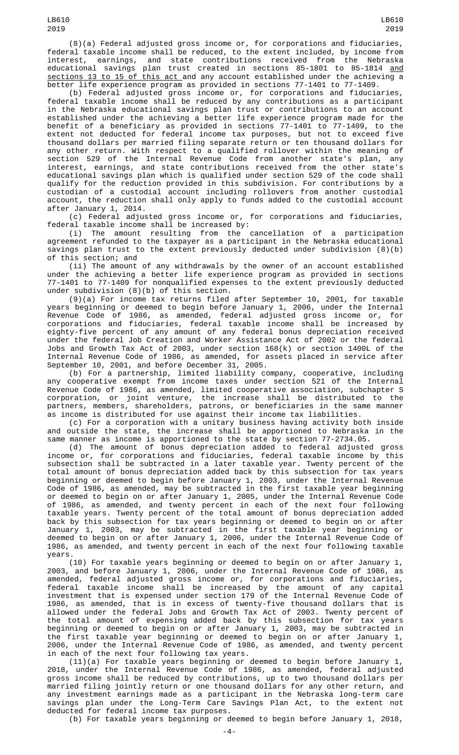(8)(a) Federal adjusted gross income or, for corporations and fiduciaries, federal taxable income shall be reduced, to the extent included, by income from earnings, and state contributions received from the educational savings plan trust created in sections 85-1801 to 85-1814 <u>and</u> sections 13 to 15 of this act and any account established under the achieving a better life experience program as provided in sections 77-1401 to 77-1409.

(b) Federal adjusted gross income or, for corporations and fiduciaries, federal taxable income shall be reduced by any contributions as a participant in the Nebraska educational savings plan trust or contributions to an account established under the achieving a better life experience program made for the benefit of a beneficiary as provided in sections 77-1401 to 77-1409, to the extent not deducted for federal income tax purposes, but not to exceed five thousand dollars per married filing separate return or ten thousand dollars for any other return. With respect to a qualified rollover within the meaning of section 529 of the Internal Revenue Code from another state's plan, any interest, earnings, and state contributions received from the other state's educational savings plan which is qualified under section 529 of the code shall qualify for the reduction provided in this subdivision. For contributions by a custodian of a custodial account including rollovers from another custodial account, the reduction shall only apply to funds added to the custodial account after January 1, 2014.

(c) Federal adjusted gross income or, for corporations and fiduciaries, federal taxable income shall be increased by:<br>(i) The amount resulting from the cancellation of a participation

 $(i)$  The amount resulting from the agreement refunded to the taxpayer as a participant in the Nebraska educational savings plan trust to the extent previously deducted under subdivision (8)(b) of this section; and

(ii) The amount of any withdrawals by the owner of an account established under the achieving a better life experience program as provided in sections 77-1401 to 77-1409 for nonqualified expenses to the extent previously deducted under subdivision (8)(b) of this section.

(9)(a) For income tax returns filed after September 10, 2001, for taxable years beginning or deemed to begin before January 1, 2006, under the Internal Revenue Code of 1986, as amended, federal adjusted gross income or, for corporations and fiduciaries, federal taxable income shall be increased by eighty-five percent of any amount of any federal bonus depreciation received under the federal Job Creation and Worker Assistance Act of 2002 or the federal Jobs and Growth Tax Act of 2003, under section 168(k) or section 1400L of the Internal Revenue Code of 1986, as amended, for assets placed in service after September 10, 2001, and before December 31, 2005.

(b) For a partnership, limited liability company, cooperative, including any cooperative exempt from income taxes under section 521 of the Internal Revenue Code of 1986, as amended, limited cooperative association, subchapter S corporation, or joint venture, the increase shall be distributed to the partners, members, shareholders, patrons, or beneficiaries in the same manner as income is distributed for use against their income tax liabilities.

(c) For a corporation with a unitary business having activity both inside and outside the state, the increase shall be apportioned to Nebraska in the same manner as income is apportioned to the state by section 77-2734.05.

(d) The amount of bonus depreciation added to federal adjusted gross income or, for corporations and fiduciaries, federal taxable income by this subsection shall be subtracted in a later taxable year. Twenty percent of the total amount of bonus depreciation added back by this subsection for tax years beginning or deemed to begin before January 1, 2003, under the Internal Revenue Code of 1986, as amended, may be subtracted in the first taxable year beginning or deemed to begin on or after January 1, 2005, under the Internal Revenue Code of 1986, as amended, and twenty percent in each of the next four following taxable years. Twenty percent of the total amount of bonus depreciation added back by this subsection for tax years beginning or deemed to begin on or after January 1, 2003, may be subtracted in the first taxable year beginning or deemed to begin on or after January 1, 2006, under the Internal Revenue Code of 1986, as amended, and twenty percent in each of the next four following taxable years.

(10) For taxable years beginning or deemed to begin on or after January 1, 2003, and before January 1, 2006, under the Internal Revenue Code of 1986, as amended, federal adjusted gross income or, for corporations and fiduciaries, federal taxable income shall be increased by the amount of any capital investment that is expensed under section 179 of the Internal Revenue Code of 1986, as amended, that is in excess of twenty-five thousand dollars that is allowed under the federal Jobs and Growth Tax Act of 2003. Twenty percent of the total amount of expensing added back by this subsection for tax years beginning or deemed to begin on or after January 1, 2003, may be subtracted in the first taxable year beginning or deemed to begin on or after January 1, 2006, under the Internal Revenue Code of 1986, as amended, and twenty percent in each of the next four following tax years.

(11)(a) For taxable years beginning or deemed to begin before January 1, 2018, under the Internal Revenue Code of 1986, as amended, federal adjusted gross income shall be reduced by contributions, up to two thousand dollars per married filing jointly return or one thousand dollars for any other return, and any investment earnings made as a participant in the Nebraska long-term care savings plan under the Long-Term Care Savings Plan Act, to the extent not deducted for federal income tax purposes.

(b) For taxable years beginning or deemed to begin before January 1, 2018, -4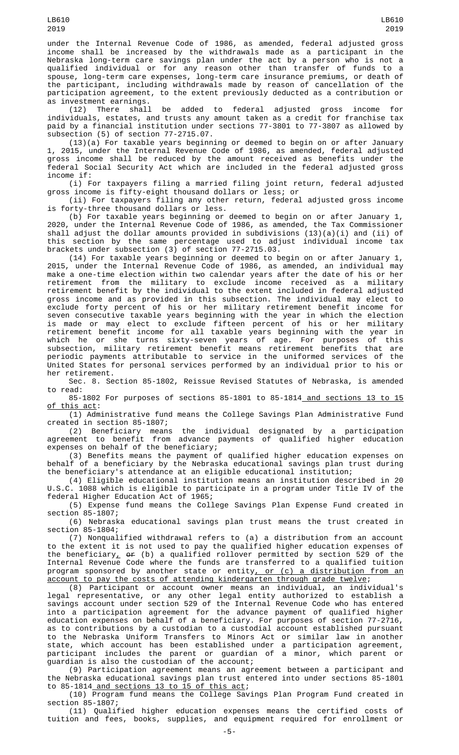under the Internal Revenue Code of 1986, as amended, federal adjusted gross income shall be increased by the withdrawals made as a participant in the Nebraska long-term care savings plan under the act by a person who is not a qualified individual or for any reason other than transfer of funds to a spouse, long-term care expenses, long-term care insurance premiums, or death of the participant, including withdrawals made by reason of cancellation of the participation agreement, to the extent previously deducted as a contribution or

as investment earnings.<br>(12) There shall be added to federal adjusted gross income for individuals, estates, and trusts any amount taken as a credit for franchise tax paid by a financial institution under sections 77-3801 to 77-3807 as allowed by subsection (5) of section 77-2715.07.

(13)(a) For taxable years beginning or deemed to begin on or after January 1, 2015, under the Internal Revenue Code of 1986, as amended, federal adjusted gross income shall be reduced by the amount received as benefits under the federal Social Security Act which are included in the federal adjusted gross income if:

(i) For taxpayers filing a married filing joint return, federal adjusted gross income is fifty-eight thousand dollars or less; or

(ii) For taxpayers filing any other return, federal adjusted gross income is forty-three thousand dollars or less.

(b) For taxable years beginning or deemed to begin on or after January 1, 2020, under the Internal Revenue Code of 1986, as amended, the Tax Commissioner shall adjust the dollar amounts provided in subdivisions (13)(a)(i) and (ii) of this section by the same percentage used to adjust individual income tax brackets under subsection (3) of section 77-2715.03.

(14) For taxable years beginning or deemed to begin on or after January 1, 2015, under the Internal Revenue Code of 1986, as amended, an individual may make a one-time election within two calendar years after the date of his or her retirement from the military to exclude income received as a military retirement benefit by the individual to the extent included in federal adjusted gross income and as provided in this subsection. The individual may elect to exclude forty percent of his or her military retirement benefit income for seven consecutive taxable years beginning with the year in which the election is made or may elect to exclude fifteen percent of his or her military retirement benefit income for all taxable years beginning with the year in which he or she turns sixty-seven years of age. For purposes of this subsection, military retirement benefit means retirement benefits that are periodic payments attributable to service in the uniformed services of the United States for personal services performed by an individual prior to his or her retirement.

Sec. 8. Section 85-1802, Reissue Revised Statutes of Nebraska, is amended to read:

85-1802 For purposes of sections 85-1801 to 85-1814 and sections 13 to 15 of this act:

(1) Administrative fund means the College Savings Plan Administrative Fund created in section 85-1807;

(2) Beneficiary means the individual designated by a participation agreement to benefit from advance payments of qualified higher education expenses on behalf of the beneficiary;

(3) Benefits means the payment of qualified higher education expenses on behalf of a beneficiary by the Nebraska educational savings plan trust during the beneficiary's attendance at an eligible educational institution;

(4) Eligible educational institution means an institution described in 20 U.S.C. 1088 which is eligible to participate in a program under Title IV of the federal Higher Education Act of 1965;

(5) Expense fund means the College Savings Plan Expense Fund created in section 85-1807;

(6) Nebraska educational savings plan trust means the trust created in section 85-1804;

(7) Nonqualified withdrawal refers to (a) a distribution from an account to the extent it is not used to pay the qualified higher education expenses of the beneficiary,  $\operatorname{\sf er\,}$  (b) a qualified rollover permitted by section 529 of the Internal Revenue Code where the funds are transferred to a qualified tuition program sponsored by another state or entity<u>, or (c) a distribution from an</u> account to pay the costs of attending kindergarten through grade twelve;

(8) Participant or account owner means an individual, an individual's legal representative, or any other legal entity authorized to establish a savings account under section 529 of the Internal Revenue Code who has entered into a participation agreement for the advance payment of qualified higher education expenses on behalf of a beneficiary. For purposes of section 77-2716, as to contributions by a custodian to a custodial account established pursuant to the Nebraska Uniform Transfers to Minors Act or similar law in another state, which account has been established under a participation agreement, participant includes the parent or guardian of a minor, which parent or guardian is also the custodian of the account;

(9) Participation agreement means an agreement between a participant and the Nebraska educational savings plan trust entered into under sections 85-1801 to 85-1814 and sections 13 to 15 of this act;

(10) Program fund means the College Savings Plan Program Fund created in section 85-1807;

(11) Qualified higher education expenses means the certified costs of tuition and fees, books, supplies, and equipment required for enrollment or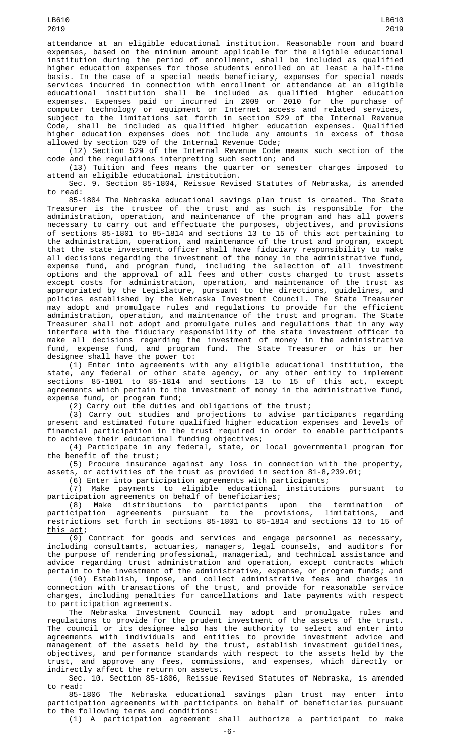attendance at an eligible educational institution. Reasonable room and board expenses, based on the minimum amount applicable for the eligible educational institution during the period of enrollment, shall be included as qualified higher education expenses for those students enrolled on at least a half-time basis. In the case of a special needs beneficiary, expenses for special needs services incurred in connection with enrollment or attendance at an eligible educational institution shall be included as qualified higher education expenses. Expenses paid or incurred in 2009 or 2010 for the purchase of computer technology or equipment or Internet access and related services, subject to the limitations set forth in section 529 of the Internal Revenue Code, shall be included as qualified higher education expenses. Qualified higher education expenses does not include any amounts in excess of those allowed by section 529 of the Internal Revenue Code;

(12) Section 529 of the Internal Revenue Code means such section of the code and the regulations interpreting such section; and

(13) Tuition and fees means the quarter or semester charges imposed to attend an eligible educational institution.

Sec. 9. Section 85-1804, Reissue Revised Statutes of Nebraska, is amended to read:

85-1804 The Nebraska educational savings plan trust is created. The State Treasurer is the trustee of the trust and as such is responsible for the administration, operation, and maintenance of the program and has all powers necessary to carry out and effectuate the purposes, objectives, and provisions of sections 85-1801 to 85-1814 <u>and sections 13 to 15 of this act </u>pertaining to the administration, operation, and maintenance of the trust and program, except that the state investment officer shall have fiduciary responsibility to make all decisions regarding the investment of the money in the administrative fund, expense fund, and program fund, including the selection of all investment options and the approval of all fees and other costs charged to trust assets except costs for administration, operation, and maintenance of the trust as appropriated by the Legislature, pursuant to the directions, guidelines, and policies established by the Nebraska Investment Council. The State Treasurer may adopt and promulgate rules and regulations to provide for the efficient administration, operation, and maintenance of the trust and program. The State Treasurer shall not adopt and promulgate rules and regulations that in any way interfere with the fiduciary responsibility of the state investment officer to make all decisions regarding the investment of money in the administrative fund, expense fund, and program fund. The State Treasurer or his or her designee shall have the power to:

(1) Enter into agreements with any eligible educational institution, the state, any federal or other state agency, or any other entity to implement sections 85-1801 to 85-1814<u> and sections 13 to 15 of this act</u>, except agreements which pertain to the investment of money in the administrative fund, expense fund, or program fund;

(2) Carry out the duties and obligations of the trust;

(3) Carry out studies and projections to advise participants regarding present and estimated future qualified higher education expenses and levels of financial participation in the trust required in order to enable participants to achieve their educational funding objectives;

(4) Participate in any federal, state, or local governmental program for the benefit of the trust;

(5) Procure insurance against any loss in connection with the property,<br>assets, or activities of the trust as provided in section 81-8,239.01; or activities of the trust as provided in section 81-8,239.01;

(6) Enter into participation agreements with participants;

(7) Make payments to eligible educational institutions pursuant to participation agreements on behalf of beneficiaries;

(8) Make distributions to participants upon the termination of participation agreements pursuant to the provisions, limitations, and restrictions set forth in sections 85-1801 to 85-1814 and sections 13 to 15 of this act;

 $\overline{(9)}$  Contract for goods and services and engage personnel as necessary, including consultants, actuaries, managers, legal counsels, and auditors for the purpose of rendering professional, managerial, and technical assistance and advice regarding trust administration and operation, except contracts which pertain to the investment of the administrative, expense, or program funds; and

(10) Establish, impose, and collect administrative fees and charges in connection with transactions of the trust, and provide for reasonable service charges, including penalties for cancellations and late payments with respect to participation agreements.

The Nebraska Investment Council may adopt and promulgate rules and regulations to provide for the prudent investment of the assets of the trust. The council or its designee also has the authority to select and enter into agreements with individuals and entities to provide investment advice and management of the assets held by the trust, establish investment guidelines, objectives, and performance standards with respect to the assets held by the trust, and approve any fees, commissions, and expenses, which directly or indirectly affect the return on assets.

Sec. 10. Section 85-1806, Reissue Revised Statutes of Nebraska, is amended to read:

85-1806 The Nebraska educational savings plan trust may enter into participation agreements with participants on behalf of beneficiaries pursuant to the following terms and conditions:

(1) A participation agreement shall authorize a participant to make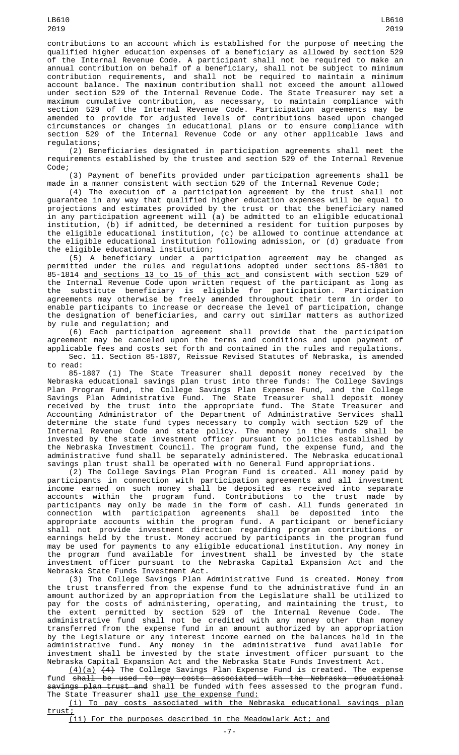contributions to an account which is established for the purpose of meeting the qualified higher education expenses of a beneficiary as allowed by section 529 of the Internal Revenue Code. A participant shall not be required to make an annual contribution on behalf of a beneficiary, shall not be subject to minimum contribution requirements, and shall not be required to maintain a minimum account balance. The maximum contribution shall not exceed the amount allowed under section 529 of the Internal Revenue Code. The State Treasurer may set a maximum cumulative contribution, as necessary, to maintain compliance with section 529 of the Internal Revenue Code. Participation agreements may be amended to provide for adjusted levels of contributions based upon changed circumstances or changes in educational plans or to ensure compliance with section 529 of the Internal Revenue Code or any other applicable laws and regulations;

(2) Beneficiaries designated in participation agreements shall meet the requirements established by the trustee and section 529 of the Internal Revenue Code;

(3) Payment of benefits provided under participation agreements shall be made in a manner consistent with section 529 of the Internal Revenue Code;

(4) The execution of a participation agreement by the trust shall not guarantee in any way that qualified higher education expenses will be equal to projections and estimates provided by the trust or that the beneficiary named in any participation agreement will (a) be admitted to an eligible educational institution, (b) if admitted, be determined a resident for tuition purposes by the eligible educational institution, (c) be allowed to continue attendance at the eligible educational institution following admission, or (d) graduate from the eligible educational institution;

(5) A beneficiary under a participation agreement may be changed as permitted under the rules and regulations adopted under sections 85-1801 to 85-1814 <u>and sections 13 to 15 of this act </u>and consistent with section 529 of the Internal Revenue Code upon written request of the participant as long as the substitute beneficiary is eligible for participation. Participation agreements may otherwise be freely amended throughout their term in order to enable participants to increase or decrease the level of participation, change the designation of beneficiaries, and carry out similar matters as authorized by rule and regulation; and

(6) Each participation agreement shall provide that the participation agreement may be canceled upon the terms and conditions and upon payment of applicable fees and costs set forth and contained in the rules and regulations.

Sec. 11. Section 85-1807, Reissue Revised Statutes of Nebraska, is amended to read:

85-1807 (1) The State Treasurer shall deposit money received by the Nebraska educational savings plan trust into three funds: The College Savings Plan Program Fund, the College Savings Plan Expense Fund, and the College Savings Plan Administrative Fund. The State Treasurer shall deposit money received by the trust into the appropriate fund. The State Treasurer and Accounting Administrator of the Department of Administrative Services shall determine the state fund types necessary to comply with section 529 of the Internal Revenue Code and state policy. The money in the funds shall be invested by the state investment officer pursuant to policies established by the Nebraska Investment Council. The program fund, the expense fund, and the administrative fund shall be separately administered. The Nebraska educational savings plan trust shall be operated with no General Fund appropriations.

(2) The College Savings Plan Program Fund is created. All money paid by participants in connection with participation agreements and all investment income earned on such money shall be deposited as received into separate accounts within the program fund. Contributions to the trust made by participants may only be made in the form of cash. All funds generated in connection with participation agreements shall be deposited into the appropriate accounts within the program fund. A participant or beneficiary shall not provide investment direction regarding program contributions or earnings held by the trust. Money accrued by participants in the program fund may be used for payments to any eligible educational institution. Any money in the program fund available for investment shall be invested by the state investment officer pursuant to the Nebraska Capital Expansion Act and the Nebraska State Funds Investment Act.

(3) The College Savings Plan Administrative Fund is created. Money from the trust transferred from the expense fund to the administrative fund in an amount authorized by an appropriation from the Legislature shall be utilized to pay for the costs of administering, operating, and maintaining the trust, to the extent permitted by section 529 of the Internal Revenue Code. The administrative fund shall not be credited with any money other than money transferred from the expense fund in an amount authorized by an appropriation by the Legislature or any interest income earned on the balances held in the administrative fund. Any money in the administrative fund available for investment shall be invested by the state investment officer pursuant to the Nebraska Capital Expansion Act and the Nebraska State Funds Investment Act.

(4)(a) (4) The College Savings Plan Expense Fund is created. The expense fund shall be used to pay costs associated with the Nebraska educational savings plan trust and shall be funded with fees assessed to the program fund. The State Treasurer shall use the expense fund:

(i) To pay costs associated with the Nebraska educational savings plan trust;

(ii) For the purposes described in the Meadowlark Act; and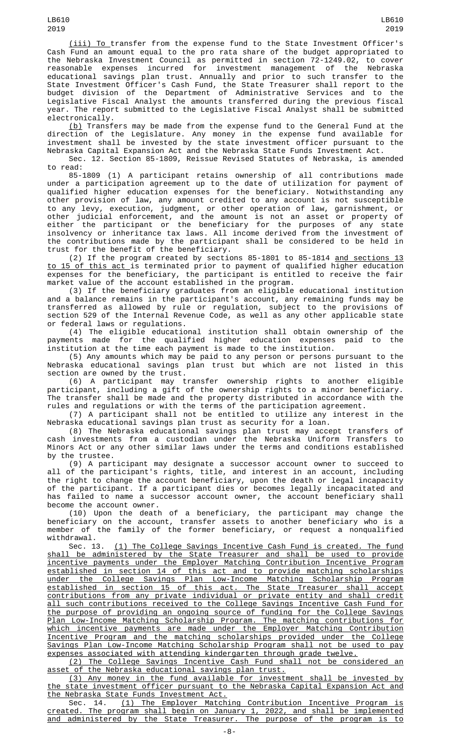(iii) To transfer from the expense fund to the State Investment Officer's Cash Fund an amount equal to the pro rata share of the budget appropriated to the Nebraska Investment Council as permitted in section 72-1249.02, to cover reasonable expenses incurred for investment management of the Nebraska educational savings plan trust. Annually and prior to such transfer to the State Investment Officer's Cash Fund, the State Treasurer shall report to the budget division of the Department of Administrative Services and to the Legislative Fiscal Analyst the amounts transferred during the previous fiscal year. The report submitted to the Legislative Fiscal Analyst shall be submitted electronically.

<u>(b)</u> Transfers may be made from the expense fund to the General Fund at the direction of the Legislature. Any money in the expense fund available for investment shall be invested by the state investment officer pursuant to the Nebraska Capital Expansion Act and the Nebraska State Funds Investment Act.

Sec. 12. Section 85-1809, Reissue Revised Statutes of Nebraska, is amended to read:

85-1809 (1) A participant retains ownership of all contributions made under a participation agreement up to the date of utilization for payment of qualified higher education expenses for the beneficiary. Notwithstanding any other provision of law, any amount credited to any account is not susceptible to any levy, execution, judgment, or other operation of law, garnishment, or other judicial enforcement, and the amount is not an asset or property of either the participant or the beneficiary for the purposes of any state insolvency or inheritance tax laws. All income derived from the investment of the contributions made by the participant shall be considered to be held in trust for the benefit of the beneficiary.

(2) If the program created by sections 85-1801 to 85-1814 and sections 13 to 15 of this act is terminated prior to payment of qualified higher education expenses for the beneficiary, the participant is entitled to receive the fair market value of the account established in the program.

(3) If the beneficiary graduates from an eligible educational institution and a balance remains in the participant's account, any remaining funds may be transferred as allowed by rule or regulation, subject to the provisions of section 529 of the Internal Revenue Code, as well as any other applicable state or federal laws or regulations.

(4) The eligible educational institution shall obtain ownership of the payments made for the qualified higher education expenses paid to the institution at the time each payment is made to the institution.

(5) Any amounts which may be paid to any person or persons pursuant to the Nebraska educational savings plan trust but which are not listed in this section are owned by the trust.

(6) A participant may transfer ownership rights to another eligible participant, including a gift of the ownership rights to a minor beneficiary. The transfer shall be made and the property distributed in accordance with the rules and regulations or with the terms of the participation agreement.

(7) A participant shall not be entitled to utilize any interest in the Nebraska educational savings plan trust as security for a loan.

(8) The Nebraska educational savings plan trust may accept transfers of cash investments from a custodian under the Nebraska Uniform Transfers to Minors Act or any other similar laws under the terms and conditions established by the trustee.

(9) A participant may designate a successor account owner to succeed to all of the participant's rights, title, and interest in an account, including the right to change the account beneficiary, upon the death or legal incapacity of the participant. If a participant dies or becomes legally incapacitated and has failed to name a successor account owner, the account beneficiary shall become the account owner.

(10) Upon the death of a beneficiary, the participant may change the beneficiary on the account, transfer assets to another beneficiary who is a member of the family of the former beneficiary, or request a nonqualified withdrawal.

Sec. 13. <u>(1) The College Savings Incentive Cash Fund is created. The fund</u> shall be administered by the State Treasurer and shall be used to provide incentive payments under the Employer Matching Contribution Incentive Program established in section 14 of this act and to provide matching scholarships under the College Savings Plan Low-Income Matching Scholarship Program established in section 15 of this act. The State Treasurer shall accept contributions from any private individual or private entity and shall credit all such contributions received to the College Savings Incentive Cash Fund for the purpose of providing an ongoing source of funding for the College Savings Plan Low-Income Matching Scholarship Program. The matching contributions for which incentive payments are made under the Employer Matching Contribution Incentive Program and the matching scholarships provided under the College Savings Plan Low-Income Matching Scholarship Program shall not be used to pay expenses associated with attending kindergarten through grade twelve.

(2) The College Savings Incentive Cash Fund shall not be considered an asset of the Nebraska educational savings plan trust.

(3) Any money in the fund available for investment shall be invested by the state investment officer pursuant to the Nebraska Capital Expansion Act and the Nebraska State Funds Investment Act.

Sec. 14. <u>(1) The Employer Matching Contribution Incentive Program is</u> created. The program shall begin on January 1, 2022, and shall be implemented and administered by the State Treasurer. The purpose of the program is to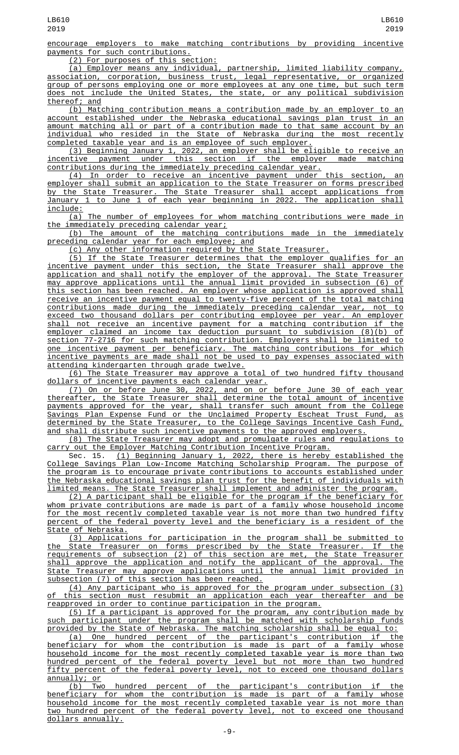encourage employers to make matching contributions by providing incentive payments for such contributions.

(2) For purposes of this section:

(a) Employer means any individual, partnership, limited liability company, association, corporation, business trust, legal representative, or organized group of persons employing one or more employees at any one time, but such term does not include the United States, the state, or any political subdivision thereof; and

(b) Matching contribution means a contribution made by an employer to an account established under the Nebraska educational savings plan trust in an amount matching all or part of a contribution made to that same account by an individual who resided in the State of Nebraska during the most recently completed taxable year and is an employee of such employer.

(3) Beginning January 1, 2022, an employer shall be eligible to receive an incentive payment under this section if the employer made matching contributions during the immediately preceding calendar year.

(4) In order to receive an incentive payment under this section, an employer shall submit an application to the State Treasurer on forms prescribed by the State Treasurer. The State Treasurer shall accept applications from January 1 to June 1 of each year beginning in 2022. The application shall include:

(a) The number of employees for whom matching contributions were made in the immediately preceding calendar year;

(b) The amount of the matching contributions made in the immediately preceding calendar year for each employee; and

(c) Any other information required by the State Treasurer.

(5) If the State Treasurer determines that the employer qualifies for an incentive payment under this section, the State Treasurer shall approve the application and shall notify the employer of the approval. The State Treasurer may approve applications until the annual limit provided in subsection (6) of this section has been reached. An employer whose application is approved shall receive an incentive payment equal to twenty-five percent of the total matching contributions made during the immediately preceding calendar year, not to exceed two thousand dollars per contributing employee per year. An employer shall not receive an incentive payment for a matching contribution if the employer claimed an income tax deduction pursuant to subdivision (8)(b) section 77-2716 for such matching contribution. Employers shall be limited to one incentive payment per beneficiary. The matching contributions for which incentive payments are made shall not be used to pay expenses associated with attending kindergarten through grade twelve.

(6) The State Treasurer may approve a total of two hundred fifty thousand dollars of incentive payments each calendar year.

(7) On or before June 30, 2022, and on or before June 30 of each year thereafter, the State Treasurer shall determine the total amount of incentive payments approved for the year, shall transfer such amount from the College Savings Plan Expense Fund or the Unclaimed Property Escheat Trust Fund, as determined by the State Treasurer, to the College Savings Incentive Cash Fund, and shall distribute such incentive payments to the approved employers.

(8) The State Treasurer may adopt and promulgate rules and regulations to carry out the Employer Matching Contribution Incentive Program.

Sec. 15. (1) Beginning January 1, 2022, there is hereby established the College Savings Plan Low-Income Matching Scholarship Program. The purpose of the program is to encourage private contributions to accounts established under the Nebraska educational savings plan trust for the benefit of individuals with limited means. The State Treasurer shall implement and administer the program.

(2) A participant shall be eligible for the program if the beneficiary for whom private contributions are made is part of a family whose household income for the most recently completed taxable year is not more than two hundred fifty percent of the federal poverty level and the beneficiary is a resident of the State of Nebraska.

(3) Applications for participation in the program shall be submitted to the State Treasurer on forms prescribed by the State Treasurer. If the requirements of subsection (2) of this section are met, the State Treasurer shall approve the application and notify the applicant of the approval. The State Treasurer may approve applications until the annual limit provided in subsection (7) of this section has been reached.

(4) Any participant who is approved for the program under subsection (3) of this section must resubmit an application each year thereafter and be reapproved in order to continue participation in the program.

(5) If a participant is approved for the program, any contribution made by such participant under the program shall be matched with scholarship funds provided by the State of Nebraska. The matching scholarship shall be equal to:

(a) One hundred percent of the participant's contribution if the beneficiary for whom the contribution is made is part of a family whose household income for the most recently completed taxable year is more than two hundred percent of the federal poverty level but not more than two hundred fifty percent of the federal poverty level, not to exceed one thousand dollars annually; or

(b) Two hundred percent of the participant's contribution if the beneficiary for whom the contribution is made is part of a family whose household income for the most recently completed taxable year is not more than two hundred percent of the federal poverty level, not to exceed one thousand dollars annually.